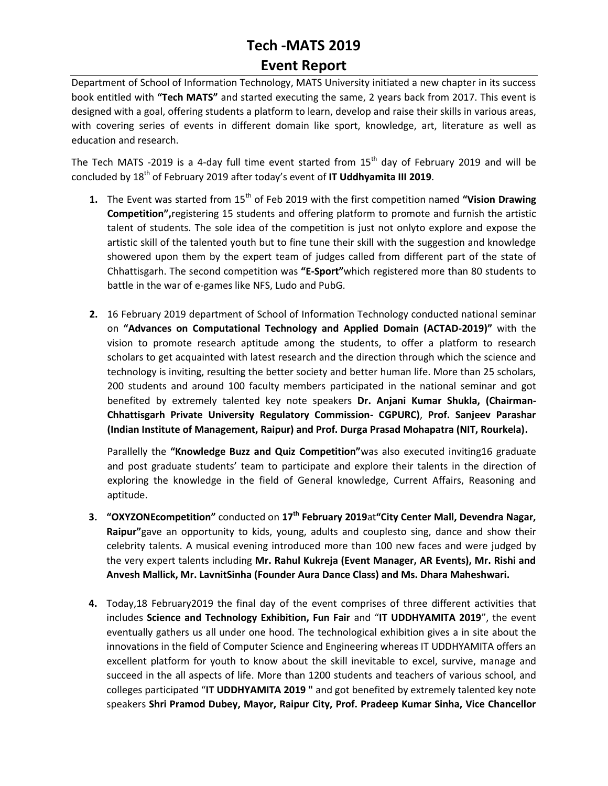## **Tech -MATS 2019 Event Report**

Department of School of Information Technology, MATS University initiated a new chapter in its success book entitled with **"Tech MATS"** and started executing the same, 2 years back from 2017. This event is designed with a goal, offering students a platform to learn, develop and raise their skills in various areas, with covering series of events in different domain like sport, knowledge, art, literature as well as education and research.

The Tech MATS -2019 is a 4-day full time event started from  $15<sup>th</sup>$  day of February 2019 and will be concluded by 18th of February 2019 after today's event of **IT Uddhyamita III 2019**.

- **1.** The Event was started from 15<sup>th</sup> of Feb 2019 with the first competition named "Vision Drawing **Competition",**registering 15 students and offering platform to promote and furnish the artistic talent of students. The sole idea of the competition is just not onlyto explore and expose the artistic skill of the talented youth but to fine tune their skill with the suggestion and knowledge showered upon them by the expert team of judges called from different part of the state of Chhattisgarh. The second competition was **"E-Sport"**which registered more than 80 students to battle in the war of e-games like NFS, Ludo and PubG.
- **2.** 16 February 2019 department of School of Information Technology conducted national seminar on **"Advances on Computational Technology and Applied Domain (ACTAD-2019)"** with the vision to promote research aptitude among the students, to offer a platform to research scholars to get acquainted with latest research and the direction through which the science and technology is inviting, resulting the better society and better human life. More than 25 scholars, 200 students and around 100 faculty members participated in the national seminar and got benefited by extremely talented key note speakers **Dr. Anjani Kumar Shukla, (Chairman-Chhattisgarh Private University Regulatory Commission- CGPURC)**, **Prof. Sanjeev Parashar (Indian Institute of Management, Raipur) and Prof. Durga Prasad Mohapatra (NIT, Rourkela).**

Parallelly the **"Knowledge Buzz and Quiz Competition"**was also executed inviting16 graduate and post graduate students' team to participate and explore their talents in the direction of exploring the knowledge in the field of General knowledge, Current Affairs, Reasoning and aptitude.

- **3. "OXYZONEcompetition"** conducted on **17th February 2019**at**"City Center Mall, Devendra Nagar, Raipur"**gave an opportunity to kids, young, adults and couplesto sing, dance and show their celebrity talents. A musical evening introduced more than 100 new faces and were judged by the very expert talents including **Mr. Rahul Kukreja (Event Manager, AR Events), Mr. Rishi and Anvesh Mallick, Mr. LavnitSinha (Founder Aura Dance Class) and Ms. Dhara Maheshwari.**
- **4.** Today,18 February2019 the final day of the event comprises of three different activities that includes **Science and Technology Exhibition, Fun Fair** and "**IT UDDHYAMITA 2019**", the event eventually gathers us all under one hood. The technological exhibition gives a in site about the innovations in the field of Computer Science and Engineering whereas IT UDDHYAMITA offers an excellent platform for youth to know about the skill inevitable to excel, survive, manage and succeed in the all aspects of life. More than 1200 students and teachers of various school, and colleges participated "**IT UDDHYAMITA 2019 "** and got benefited by extremely talented key note speakers **Shri Pramod Dubey, Mayor, Raipur City, Prof. Pradeep Kumar Sinha, Vice Chancellor**